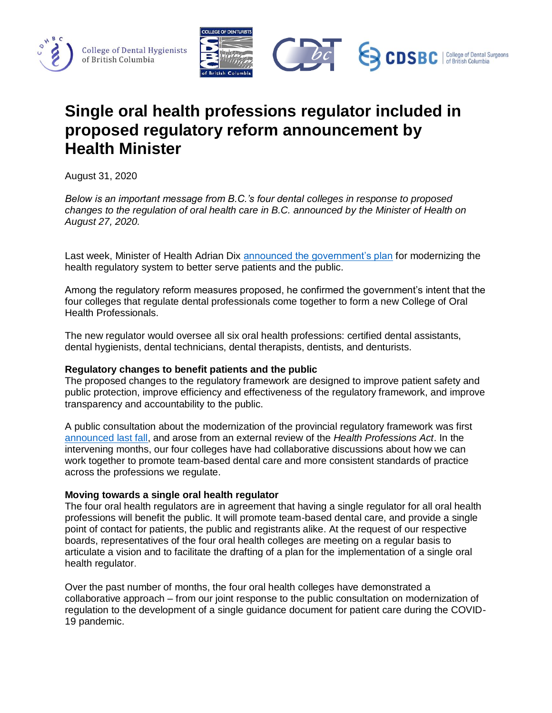





# **Single oral health professions regulator included in proposed regulatory reform announcement by Health Minister**

August 31, 2020

*Below is an important message from B.C.'s four dental colleges in response to proposed changes to the regulation of oral health care in B.C. announced by the Minister of Health on August 27, 2020.*

Last week, Minister of Health Adrian Dix [announced the government's plan](https://news.gov.bc.ca/releases/2020HLTH0266-001598) for modernizing the health regulatory system to better serve patients and the public.

Among the regulatory reform measures proposed, he confirmed the government's intent that the four colleges that regulate dental professionals come together to form a new College of Oral Health Professionals.

The new regulator would oversee all six oral health professions: certified dental assistants, dental hygienists, dental technicians, dental therapists, dentists, and denturists.

## **Regulatory changes to benefit patients and the public**

The proposed changes to the regulatory framework are designed to improve patient safety and public protection, improve efficiency and effectiveness of the regulatory framework, and improve transparency and accountability to the public.

A public consultation about the modernization of the provincial regulatory framework was first [announced last fall,](https://archive.news.gov.bc.ca/releases/news_releases_2017-2021/2019HLTH0155-002284.pdf) and arose from an external review of the *Health Professions Act*. In the intervening months, our four colleges have had collaborative discussions about how we can work together to promote team-based dental care and more consistent standards of practice across the professions we regulate.

### **Moving towards a single oral health regulator**

The four oral health regulators are in agreement that having a single regulator for all oral health professions will benefit the public. It will promote team-based dental care, and provide a single point of contact for patients, the public and registrants alike. At the request of our respective boards, representatives of the four oral health colleges are meeting on a regular basis to articulate a vision and to facilitate the drafting of a plan for the implementation of a single oral health regulator.

Over the past number of months, the four oral health colleges have demonstrated a collaborative approach – from our joint response to the public consultation on modernization of regulation to the development of a single guidance document for patient care during the COVID-19 pandemic.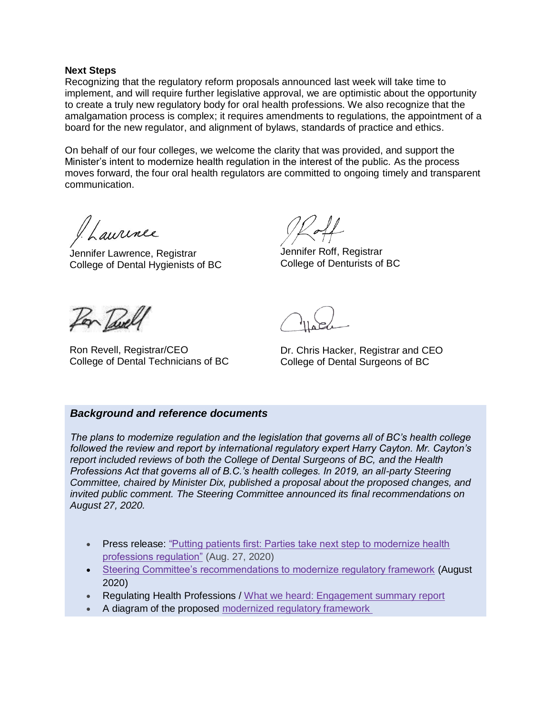#### **Next Steps**

Recognizing that the regulatory reform proposals announced last week will take time to implement, and will require further legislative approval, we are optimistic about the opportunity to create a truly new regulatory body for oral health professions. We also recognize that the amalgamation process is complex; it requires amendments to regulations, the appointment of a board for the new regulator, and alignment of bylaws, standards of practice and ethics.

On behalf of our four colleges, we welcome the clarity that was provided, and support the Minister's intent to modernize health regulation in the interest of the public. As the process moves forward, the four oral health regulators are committed to ongoing timely and transparent communication.

aurinee

Jennifer Lawrence, Registrar College of Dental Hygienists of BC

Jennifer Roff, Registrar College of Denturists of BC



Ron Revell, Registrar/CEO College of Dental Technicians of BC

Dr. Chris Hacker, Registrar and CEO College of Dental Surgeons of BC

### *Background and reference documents*

*The plans to modernize regulation and the legislation that governs all of BC's health college followed the review and report by international regulatory expert Harry Cayton. Mr. Cayton's report included reviews of both the College of Dental Surgeons of BC, and the Health Professions Act that governs all of B.C.'s health colleges. In 2019, an all-party Steering Committee, chaired by Minister Dix, published a proposal about the proposed changes, and invited public comment. The Steering Committee announced its final recommendations on August 27, 2020.*

- Press release: "Putting patients first: Parties take next step to modernize health [professions regulation"](https://news.gov.bc.ca/releases/2020HLTH0266-001598) (Aug. 27, 2020)
- [Steering Committee's recommendations to modernize regulatory framework](https://engage.gov.bc.ca/app/uploads/sites/578/2020/08/Recommendations-to-modernize-regulatory-framework.pdf) (August 2020)
- Regulating Health Professions / [What we heard: Engagement summary report](https://engage.gov.bc.ca/app/uploads/sites/578/2020/08/Regulating-health-professions-What-we-heard.pdf)
- A diagram of the proposed [modernized regulatory framework](https://engage.gov.bc.ca/app/uploads/sites/578/2020/08/Modern-Regulatory-Framework-Diagram.pdf)